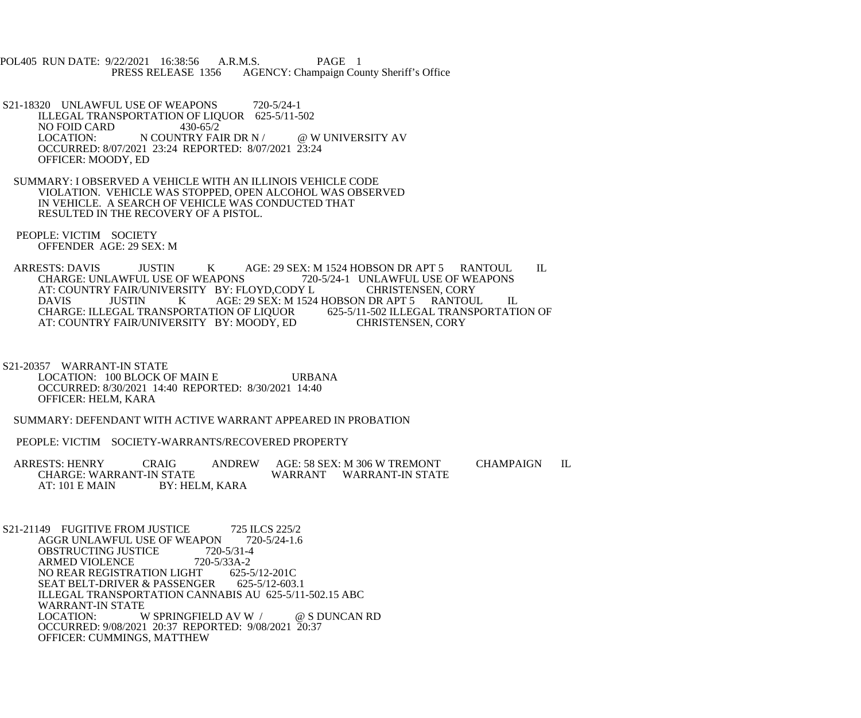POL405 RUN DATE: 9/22/2021 16:38:56 A.R.M.S. PAGE 1<br>PRESS RELEASE 1356 AGENCY: Champaign Cou AGENCY: Champaign County Sheriff's Office

- S21-18320 UNLAWFUL USE OF WEAPONS 720-5/24-1 ILLEGAL TRANSPORTATION OF LIQUOR 625-5/11-502<br>NO FOID CARD 430-65/2 NO FOID CARD<br>LOCATION: N COUNTRY FAIR DR N / @ W UNIVERSITY AV OCCURRED: 8/07/2021 23:24 REPORTED: 8/07/2021 23:24 OFFICER: MOODY, ED
- SUMMARY: I OBSERVED A VEHICLE WITH AN ILLINOIS VEHICLE CODE VIOLATION. VEHICLE WAS STOPPED, OPEN ALCOHOL WAS OBSERVED IN VEHICLE. A SEARCH OF VEHICLE WAS CONDUCTED THAT RESULTED IN THE RECOVERY OF A PISTOL.

 PEOPLE: VICTIM SOCIETY OFFENDER AGE: 29 SEX: M

ARRESTS: DAVIS JUSTIN K AGE: 29 SEX: M 1524 HOBSON DR APT 5 RANTOUL IL CHARGE: UNLAWFUL USE OF WEAPONS 720-5/24-1 UNLAWFUL USE OF WEAPONS CHARGE: UNLAWFUL USE OF WEAPONS 720-5/24-1 UNLAWFUL USE OF WEAPONS AT: COUNTRY FAIR/UNIVERSITY BY: FLOYD,CODY L<br>DAVIS JUSTIN K AGE: 29 SEX: M 1524 DAVIS JUSTIN K AGE: 29 SEX: M 1524 HOBSON DR APT 5 RANTOUL IL CHARGE: ILLEGAL TRANSPORTATION OF LIQUOR 625-5/11-502 ILLEGAL TRANSPORTATION OF CHARGE: ILLEGAL TRANSPORTATION OF LIQUOR 625-5/11-502 ILLEGAL TRAN<br>AT: COUNTRY FAIR/UNIVERSITY BY: MOODY, ED CHRISTENSEN, CORY AT: COUNTRY FAIR/UNIVERSITY BY: MOODY, ED

 S21-20357 WARRANT-IN STATE LOCATION: 100 BLOCK OF MAIN E URBANA OCCURRED: 8/30/2021 14:40 REPORTED: 8/30/2021 14:40 OFFICER: HELM, KARA

SUMMARY: DEFENDANT WITH ACTIVE WARRANT APPEARED IN PROBATION

PEOPLE: VICTIM SOCIETY-WARRANTS/RECOVERED PROPERTY

ARRESTS: HENRY CRAIG ANDREW AGE: 58 SEX: M 306 W TREMONT CHAMPAIGN IL<br>CHARGE: WARRANT-IN STATE WARRANT WARRANT-IN STATE WARRANT WARRANT-IN STATE AT: 101 E MAIN BY: HELM, KARA

S21-21149 FUGITIVE FROM JUSTICE 725 ILCS 225/2<br>AGGR UNLAWFUL USE OF WEAPON 720-5/24-1.6 AGGR UNLAWFUL USE OF WEAPON 72<br>OBSTRUCTING JUSTICE 720-5/31-4 OBSTRUCTING JUSTICE 720-5/31-4<br>ARMED VIOLENCE 720-5/33A-2 ARMED VIOLENCE 720-5/33A-2<br>NO REAR REGISTRATION LIGHT 625-5/12-201C NO REAR REGISTRATION LIGHT 625-5/12-201C<br>SEAT BELT-DRIVER & PASSENGER 625-5/12-603.1 SEAT BELT-DRIVER & PASSENGER ILLEGAL TRANSPORTATION CANNABIS AU 625-5/11-502.15 ABC WARRANT-IN STATE<br>LOCATION: W W SPRINGFIELD AV W / @ S DUNCAN RD OCCURRED: 9/08/2021 20:37 REPORTED: 9/08/2021 20:37 OFFICER: CUMMINGS, MATTHEW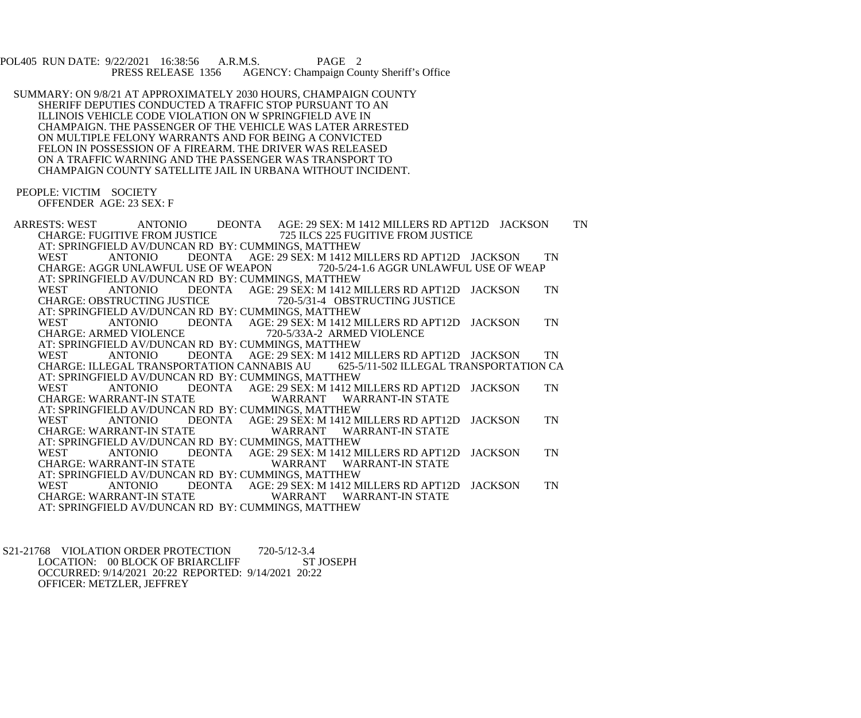POL405 RUN DATE: 9/22/2021 16:38:56 A.R.M.S. PAGE 2<br>PRESS RELEASE 1356 AGENCY: Champaign Cou AGENCY: Champaign County Sheriff's Office

 SUMMARY: ON 9/8/21 AT APPROXIMATELY 2030 HOURS, CHAMPAIGN COUNTY SHERIFF DEPUTIES CONDUCTED A TRAFFIC STOP PURSUANT TO AN ILLINOIS VEHICLE CODE VIOLATION ON W SPRINGFIELD AVE IN CHAMPAIGN. THE PASSENGER OF THE VEHICLE WAS LATER ARRESTED ON MULTIPLE FELONY WARRANTS AND FOR BEING A CONVICTED FELON IN POSSESSION OF A FIREARM. THE DRIVER WAS RELEASED ON A TRAFFIC WARNING AND THE PASSENGER WAS TRANSPORT TO CHAMPAIGN COUNTY SATELLITE JAIL IN URBANA WITHOUT INCIDENT.

 PEOPLE: VICTIM SOCIETY OFFENDER AGE: 23 SEX: F

ARRESTS: WEST ANTONIO DEONTA AGE: 29 SEX: M 1412 MILLERS RD APT12D JACKSON TN<br>CHARGE: FUGITIVE FROM JUSTICE 725 ILCS 225 FUGITIVE FROM JUSTICE CHARGE: FUGITIVE FROM JUSTICE 725 ILCS 225 FUGITIVE FROM JUSTICE AT: SPRINGFIELD AV/DUNCAN RD BY: CUMMINGS, MATTHEW<br>WEST ANTONIO DEONTA AGE: 29 SEX: M 1412 M DEONTA AGE: 29 SEX: M 1412 MILLERS RD APT12D JACKSON TN<br>USE OF WEAPON 720-5/24-1.6 AGGR UNLAWFUL USE OF WEAP CHARGE: AGGR UNLAWFUL USE OF WEAPON AT: SPRINGFIELD AV/DUNCAN RD BY: CUMMINGS, MATTHEW<br>WEST ANTONIO DEONTA AGE: 29 SEX: M 1412 M DEONTA AGE: 29 SEX: M 1412 MILLERS RD APT12D JACKSON TN<br>TICE 720-5/31-4 OBSTRUCTING JUSTICE CHARGE: OBSTRUCTING JUSTICE AT: SPRINGFIELD AV/DUNCAN RD BY: CUMMINGS, MATTHEW WEST ANTONIO DEONTA AGE: 29 SEX: M 1412 MILLERS RD APT12D JACKSON TN CHARGE: ARMED VIOLENCE 720-5/33A-2 ARMED VIOLENCE 720-5/33A-2 ARMED VIOLENCE AT: SPRINGFIELD AV/DUNCAN RD BY: CUMMINGS, MATTHEW<br>WEST ANTONIO DEONTA AGE: 29 SEX: M 1412 M WEST ANTONIO DEONTA AGE: 29 SEX: M 1412 MILLERS RD APT12D JACKSON TN CHARGE: ILLEGAL TRANSPORTATION CANNABIS AU 625-5/11-502 ILLEGAL TRANSPORTATION CA AT: SPRINGFIELD AV/DUNCAN RD BY: CUMMINGS, MATTHEW<br>WEST ANTONIO DEONTA AGE: 29 SEX: M 1412 M WEST ANTONIO DEONTA AGE: 29 SEX: M 1412 MILLERS RD APT12D JACKSON TN CHARGE: WARRANT-IN STATE WARRANT WARRANT-IN STATE AT: SPRINGFIELD AV/DUNCAN RD BY: CUMMINGS, MATTHEW<br>WEST ANTONIO DEONTA AGE: 29 SEX: M 1412 M DEONTA AGE: 29 SEX: M 1412 MILLERS RD APT12D JACKSON TN CHARGE: WARRANT-IN STATE WARRANT WARRANT-IN STATE AT: SPRINGFIELD AV/DUNCAN RD BY: CUMMINGS, MATTHEW<br>WEST ANTONIO DEONTA AGE: 29 SEX: M 1412 M WEST ANTONIO DEONTA AGE: 29 SEX: M 1412 MILLERS RD APT12D JACKSON TN CHARGE: WARRANT-IN STATE WARRANT WARRANT-IN STATE AT: SPRINGFIELD AV/DUNCAN RD BY: CUMMINGS, MATTHEW WEST ANTONIO DEONTA AGE: 29 SEX: M 1412 MILLERS RD APT12D JACKSON TN CHARGE: WARRANT-IN STATE WARRANT WARRANT-IN STATE AT: SPRINGFIELD AV/DUNCAN RD BY: CUMMINGS, MATTHEW

S21-21768 VIOLATION ORDER PROTECTION 720-5/12-3.4<br>LOCATION: 00 BLOCK OF BRIARCLIFF ST JOSEPH LOCATION: 00 BLOCK OF BRIARCLIFF OCCURRED: 9/14/2021 20:22 REPORTED: 9/14/2021 20:22 OFFICER: METZLER, JEFFREY